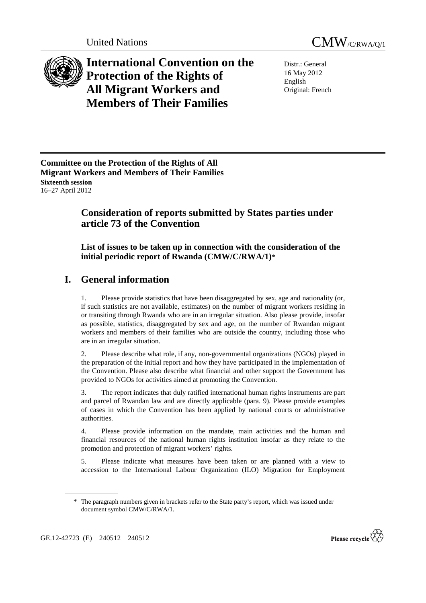



**International Convention on the Protection of the Rights of All Migrant Workers and Members of Their Families**

Distr.: General 16 May 2012 English Original: French

**Committee on the Protection of the Rights of All Migrant Workers and Members of Their Families Sixteenth session**  16–27 April 2012

# **Consideration of reports submitted by States parties under article 73 of the Convention**

 **List of issues to be taken up in connection with the consideration of the initial periodic report of Rwanda (CMW/C/RWA/1)**\*

# **I. General information**

1. Please provide statistics that have been disaggregated by sex, age and nationality (or, if such statistics are not available, estimates) on the number of migrant workers residing in or transiting through Rwanda who are in an irregular situation. Also please provide, insofar as possible, statistics, disaggregated by sex and age, on the number of Rwandan migrant workers and members of their families who are outside the country, including those who are in an irregular situation.

2. Please describe what role, if any, non-governmental organizations (NGOs) played in the preparation of the initial report and how they have participated in the implementation of the Convention. Please also describe what financial and other support the Government has provided to NGOs for activities aimed at promoting the Convention.

3. The report indicates that duly ratified international human rights instruments are part and parcel of Rwandan law and are directly applicable (para. 9). Please provide examples of cases in which the Convention has been applied by national courts or administrative authorities.

4. Please provide information on the mandate, main activities and the human and financial resources of the national human rights institution insofar as they relate to the promotion and protection of migrant workers' rights.

5. Please indicate what measures have been taken or are planned with a view to accession to the International Labour Organization (ILO) Migration for Employment



<sup>\*</sup> The paragraph numbers given in brackets refer to the State party's report, which was issued under document symbol CMW/C/RWA/1.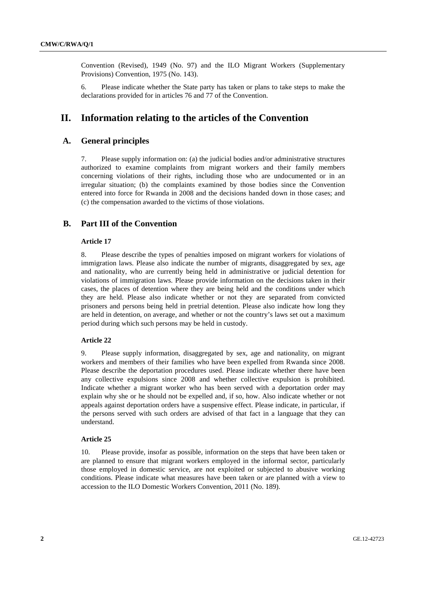Convention (Revised), 1949 (No. 97) and the ILO Migrant Workers (Supplementary Provisions) Convention, 1975 (No. 143).

6. Please indicate whether the State party has taken or plans to take steps to make the declarations provided for in articles 76 and 77 of the Convention.

# **II. Information relating to the articles of the Convention**

## **A. General principles**

7. Please supply information on: (a) the judicial bodies and/or administrative structures authorized to examine complaints from migrant workers and their family members concerning violations of their rights, including those who are undocumented or in an irregular situation; (b) the complaints examined by those bodies since the Convention entered into force for Rwanda in 2008 and the decisions handed down in those cases; and (c) the compensation awarded to the victims of those violations.

## **B. Part III of the Convention**

## **Article 17**

8. Please describe the types of penalties imposed on migrant workers for violations of immigration laws. Please also indicate the number of migrants, disaggregated by sex, age and nationality, who are currently being held in administrative or judicial detention for violations of immigration laws. Please provide information on the decisions taken in their cases, the places of detention where they are being held and the conditions under which they are held. Please also indicate whether or not they are separated from convicted prisoners and persons being held in pretrial detention. Please also indicate how long they are held in detention, on average, and whether or not the country's laws set out a maximum period during which such persons may be held in custody.

### **Article 22**

9. Please supply information, disaggregated by sex, age and nationality, on migrant workers and members of their families who have been expelled from Rwanda since 2008. Please describe the deportation procedures used. Please indicate whether there have been any collective expulsions since 2008 and whether collective expulsion is prohibited. Indicate whether a migrant worker who has been served with a deportation order may explain why she or he should not be expelled and, if so, how. Also indicate whether or not appeals against deportation orders have a suspensive effect. Please indicate, in particular, if the persons served with such orders are advised of that fact in a language that they can understand.

#### **Article 25**

10. Please provide, insofar as possible, information on the steps that have been taken or are planned to ensure that migrant workers employed in the informal sector, particularly those employed in domestic service, are not exploited or subjected to abusive working conditions. Please indicate what measures have been taken or are planned with a view to accession to the ILO Domestic Workers Convention, 2011 (No. 189).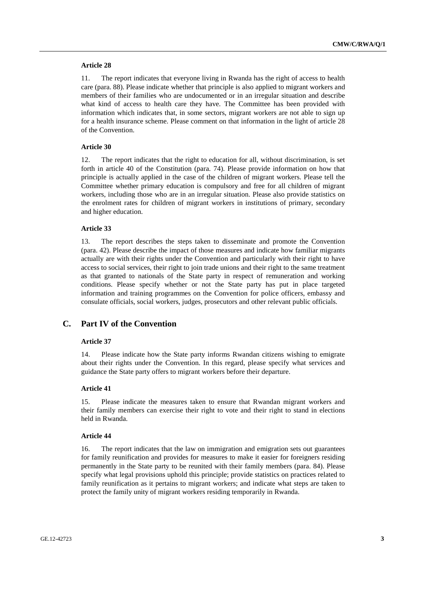#### **Article 28**

11. The report indicates that everyone living in Rwanda has the right of access to health care (para. 88). Please indicate whether that principle is also applied to migrant workers and members of their families who are undocumented or in an irregular situation and describe what kind of access to health care they have. The Committee has been provided with information which indicates that, in some sectors, migrant workers are not able to sign up for a health insurance scheme. Please comment on that information in the light of article 28 of the Convention.

#### **Article 30**

12. The report indicates that the right to education for all, without discrimination, is set forth in article 40 of the Constitution (para. 74). Please provide information on how that principle is actually applied in the case of the children of migrant workers. Please tell the Committee whether primary education is compulsory and free for all children of migrant workers, including those who are in an irregular situation. Please also provide statistics on the enrolment rates for children of migrant workers in institutions of primary, secondary and higher education.

#### **Article 33**

13. The report describes the steps taken to disseminate and promote the Convention (para. 42). Please describe the impact of those measures and indicate how familiar migrants actually are with their rights under the Convention and particularly with their right to have access to social services, their right to join trade unions and their right to the same treatment as that granted to nationals of the State party in respect of remuneration and working conditions. Please specify whether or not the State party has put in place targeted information and training programmes on the Convention for police officers, embassy and consulate officials, social workers, judges, prosecutors and other relevant public officials.

## **C. Part IV of the Convention**

#### **Article 37**

14. Please indicate how the State party informs Rwandan citizens wishing to emigrate about their rights under the Convention. In this regard, please specify what services and guidance the State party offers to migrant workers before their departure.

#### **Article 41**

15. Please indicate the measures taken to ensure that Rwandan migrant workers and their family members can exercise their right to vote and their right to stand in elections held in Rwanda.

#### **Article 44**

16. The report indicates that the law on immigration and emigration sets out guarantees for family reunification and provides for measures to make it easier for foreigners residing permanently in the State party to be reunited with their family members (para. 84). Please specify what legal provisions uphold this principle; provide statistics on practices related to family reunification as it pertains to migrant workers; and indicate what steps are taken to protect the family unity of migrant workers residing temporarily in Rwanda.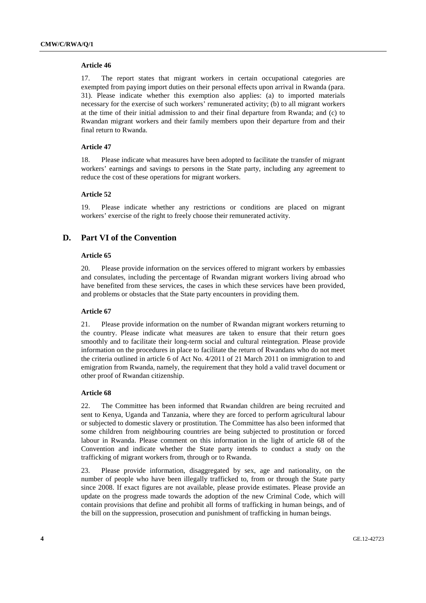#### **Article 46**

17. The report states that migrant workers in certain occupational categories are exempted from paying import duties on their personal effects upon arrival in Rwanda (para. 31). Please indicate whether this exemption also applies: (a) to imported materials necessary for the exercise of such workers' remunerated activity; (b) to all migrant workers at the time of their initial admission to and their final departure from Rwanda; and (c) to Rwandan migrant workers and their family members upon their departure from and their final return to Rwanda.

#### **Article 47**

18. Please indicate what measures have been adopted to facilitate the transfer of migrant workers' earnings and savings to persons in the State party, including any agreement to reduce the cost of these operations for migrant workers.

## **Article 52**

19. Please indicate whether any restrictions or conditions are placed on migrant workers' exercise of the right to freely choose their remunerated activity.

## **D. Part VI of the Convention**

#### **Article 65**

20. Please provide information on the services offered to migrant workers by embassies and consulates, including the percentage of Rwandan migrant workers living abroad who have benefited from these services, the cases in which these services have been provided, and problems or obstacles that the State party encounters in providing them.

#### **Article 67**

21. Please provide information on the number of Rwandan migrant workers returning to the country. Please indicate what measures are taken to ensure that their return goes smoothly and to facilitate their long-term social and cultural reintegration. Please provide information on the procedures in place to facilitate the return of Rwandans who do not meet the criteria outlined in article 6 of Act No. 4/2011 of 21 March 2011 on immigration to and emigration from Rwanda, namely, the requirement that they hold a valid travel document or other proof of Rwandan citizenship.

#### **Article 68**

22. The Committee has been informed that Rwandan children are being recruited and sent to Kenya, Uganda and Tanzania, where they are forced to perform agricultural labour or subjected to domestic slavery or prostitution. The Committee has also been informed that some children from neighbouring countries are being subjected to prostitution or forced labour in Rwanda. Please comment on this information in the light of article 68 of the Convention and indicate whether the State party intends to conduct a study on the trafficking of migrant workers from, through or to Rwanda.

23. Please provide information, disaggregated by sex, age and nationality, on the number of people who have been illegally trafficked to, from or through the State party since 2008. If exact figures are not available, please provide estimates. Please provide an update on the progress made towards the adoption of the new Criminal Code, which will contain provisions that define and prohibit all forms of trafficking in human beings, and of the bill on the suppression, prosecution and punishment of trafficking in human beings.